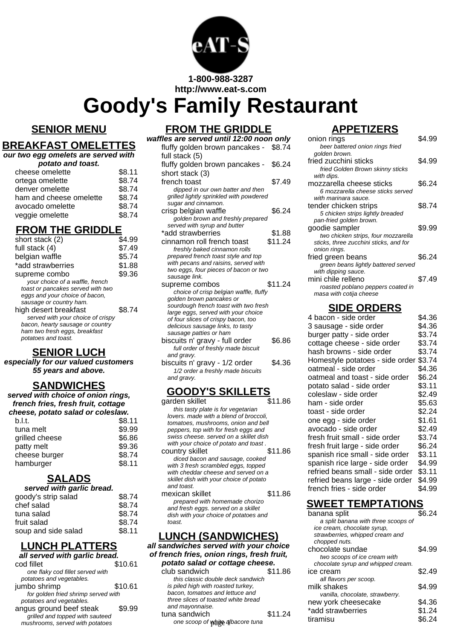

**http://www.eat-s.com**

# **Goody's Family Restaurant**

#### **SENIOR MENU**

**BREAKFAST OMELETTES**

#### **FROM THE GRIDDLE**

| waffles are served until 12:00 noon only                          |         |
|-------------------------------------------------------------------|---------|
| fluffy golden brown pancakes - \$8.74                             |         |
| full stack (5)                                                    |         |
| fluffy golden brown pancakes - \$6.24                             |         |
| short stack (3)                                                   |         |
|                                                                   |         |
| french toast                                                      | \$7.49  |
| dipped in our own batter and then                                 |         |
| grilled lightly sprinkled with powdered                           |         |
| sugar and cinnamon.                                               |         |
| crisp belgian waffle                                              | \$6.24  |
| golden brown and freshly prepared                                 |         |
| served with syrup and butter                                      |         |
| *add strawberries                                                 | \$1.88  |
| cinnamon roll french toast                                        | \$11.24 |
| freshly baked cinnamon rolls                                      |         |
| prepared french toast style and top                               |         |
| with pecans and raisins, served with                              |         |
| two eggs, four pieces of bacon or two                             |         |
| sausage link.                                                     |         |
| supreme combos                                                    | \$11.24 |
| choice of crisp belgian waffle, fluffy                            |         |
| golden brown pancakes or<br>sourdough french toast with two fresh |         |
| large eggs, served with your choice                               |         |
| of four slices of crispy bacon, too                               |         |
| delicious sausage links, to tasty                                 |         |
| sausage patties or ham                                            |         |
| biscuits n' gravy - full order                                    | \$6.86  |
| full order of freshly made biscuit                                |         |
| and gravy.                                                        |         |
| biscuits n' gravy - 1/2 order                                     | \$4.36  |

1/2 order a freshly made biscuits and gravy.

# **GOODY'S SKILLETS**

garden skillet **\$11.86** this tasty plate is for vegetarian lovers. made with a blend of broccoli, tomatoes, mushrooms, onion and bell peppers, top with for fresh eggs and swiss cheese. served on a skillet dish with your choice of potato and toast. country skillet \$11.86 diced bacon and sausage, cooked with 3 fresh scrambled eggs, topped with cheddar cheese and served on a skillet dish with your choice of potato and toast. mexican skillet \$11.86 prepared with homemade chorizo and fresh eggs. served on a skillet dish with your choice of potatoes and toast.

#### **LUNCH (SANDWICHES)**

**all sandwiches served with your choice of french fries, onion rings, fresh fruit, potato salad or cottage cheese.** club sandwich  $$11.86$ 

this classic double deck sandwich is piled high with roasted turkey, bacon, tomatoes and lettuce and three slices of toasted white bread and mayonnaise. tuna sandwich  $$11.24$ 

# **APPETIZERS**

| onion rings                                                | \$4.99 |
|------------------------------------------------------------|--------|
| beer battered onion rings fried<br>golden brown.           |        |
| fried zucchini sticks                                      | \$4.99 |
| fried Golden Brown skinny sticks                           |        |
| with dips.                                                 |        |
| mozzarella cheese sticks                                   | \$6.24 |
| 6 mozzarella cheese sticks served                          |        |
| with marinara sauce.                                       | \$8.74 |
| tender chicken strips<br>5 chicken strips lightly breaded  |        |
| pan-fried golden brown.                                    |        |
| goodie sampler                                             | \$9.99 |
| two chicken strips, four mozzarella                        |        |
| sticks, three zucchini sticks, and for                     |        |
| onion rings.                                               |        |
| fried green beans                                          | \$6.24 |
| green beans lightly battered served<br>with dipping sauce. |        |
| mini chile relleno                                         | \$7.49 |
| roasted poblano peppers coated in                          |        |
| masa with cotija cheese                                    |        |
| <b>SIDE ORDERS</b>                                         |        |
| 4 bacon - side order                                       | \$4.36 |
| 3 sausage - side order                                     | \$4.36 |
| burger patty - side order                                  | \$3.74 |
| cottage cheese - side order                                | \$3.74 |
| hash browns - side order                                   | \$3.74 |
| Homestyle potatoes - side order                            | \$3.74 |
| oatmeal - side order                                       | \$4.36 |
| oatmeal and toast - side order                             | \$6.24 |
| potato salad - side order                                  | \$3.11 |
| coleslaw - side order                                      | \$2.49 |
| ham - side order                                           | \$5.63 |

| 4 bacon - side order             | \$4.36 |
|----------------------------------|--------|
| 3 sausage - side order           | \$4.36 |
| burger patty - side order        | \$3.74 |
| cottage cheese - side order      | \$3.74 |
| hash browns - side order         | \$3.74 |
| Homestyle potatoes - side order  | \$3.74 |
| oatmeal - side order             | \$4.36 |
| oatmeal and toast - side order   | \$6.24 |
| potato salad - side order        | \$3.11 |
| coleslaw - side order            | \$2.49 |
| ham - side order                 | \$5.63 |
| toast - side order               | \$2.24 |
| one egg - side order             | \$1.61 |
| avocado - side order             | \$2.49 |
| fresh fruit small - side order   | \$3.74 |
| fresh fruit large - side order   | \$6.24 |
| spanish rice small - side order  | \$3.11 |
| spanish rice large - side order  | \$4.99 |
| refried beans small - side order | \$3.11 |
| refried beans large - side order | \$4.99 |
| french fries - side order        | \$4.99 |

## **SWEET TEMPTATIONS**

| ia moon oggo: oor roa on a orimot<br>sh with your choice of potatoes and<br>эst.<br><u>NCH (SANDWICHES)</u> |         | banana split<br>a split banana with three scoops of<br>ice cream, chocolate syrup,<br>strawberries, whipped cream and<br>chopped nuts. | \$6.24 |
|-------------------------------------------------------------------------------------------------------------|---------|----------------------------------------------------------------------------------------------------------------------------------------|--------|
| dwiches served with your choice<br>ch fries, onion rings, fresh fruit,<br>ato salad or cottage cheese.      |         | chocolate sundae<br>two scoops of ice cream with<br>chocolate syrup and whipped cream.                                                 | \$4.99 |
| sandwich (<br>this classic double deck sandwich                                                             | \$11.86 | ice cream<br>all flavors per scoop.                                                                                                    | \$2.49 |
| piled high with roasted turkey,<br>con, tomatoes and lettuce and                                            |         | milk shakes<br>vanilla, chocolate, strawberry.                                                                                         | \$4.99 |
| ree slices of toasted white bread                                                                           |         | new york cheesecake                                                                                                                    | \$4.36 |
| ıd mayonnaise.                                                                                              |         | *add strawberries                                                                                                                      | \$1.24 |
| a sandwich<br>one scoop of whitee albacore tuna                                                             | \$11.24 | tiramisu                                                                                                                               | \$6.24 |

#### **our two egg omelets are served with potato and toast.**

| cheese omelette         | \$8.11 |
|-------------------------|--------|
| ortega omelette         | \$8.74 |
| denver omelette         | \$8.74 |
| ham and cheese omelette | \$8.74 |
| avocado omelette        | \$8.74 |
| veggie omelette         | \$8.74 |

# **FROM THE GRIDDLE**

| short stack (2)                                                                                                                                                                                                                                                                             | \$4.99 |
|---------------------------------------------------------------------------------------------------------------------------------------------------------------------------------------------------------------------------------------------------------------------------------------------|--------|
| full stack (4)                                                                                                                                                                                                                                                                              | \$7.49 |
| belgian waffle                                                                                                                                                                                                                                                                              | \$5.74 |
| *add strawberries                                                                                                                                                                                                                                                                           | \$1.88 |
| supreme combo                                                                                                                                                                                                                                                                               | \$9.36 |
| your choice of a waffle, french<br>toast or pancakes served with two<br>eggs and your choice of bacon,<br>sausage or country ham.<br>high desert breakfast<br>served with your choice of crispy<br>bacon, hearty sausage or country<br>ham two fresh eggs, breakfast<br>potatoes and toast. | \$8.74 |
|                                                                                                                                                                                                                                                                                             |        |

## **SENIOR LUCH**

**especially for our valued customers 55 years and above.**

## **SANDWICHES**

**served with choice of onion rings, french fries, fresh fruit, cottage cheese, potato salad or coleslaw.**

| b.l.t.         | \$8.11 |
|----------------|--------|
| tuna melt      | \$9.99 |
| grilled cheese | \$6.86 |
| patty melt     | \$9.36 |
| cheese burger  | \$8.74 |
| hamburger      | \$8.11 |
|                |        |

# **SALADS**

| served with garlic bread. |        |
|---------------------------|--------|
| goody's strip salad       | \$8.74 |
| chef salad                | \$8.74 |
|                           |        |

| tuna salad          | \$8.74 |
|---------------------|--------|
| fruit salad         | \$8.74 |
| soup and side salad | \$8.11 |

#### **LUNCH PLATTERS all served with garlic be**

| all selved with yarlıc bilead.      |         |
|-------------------------------------|---------|
| cod fillet                          | \$10.61 |
| one flaky cod fillet served with    |         |
| potatoes and vegetables.            |         |
| jumbo shrimp                        | \$10.61 |
| for golden fried shrimp served with |         |
| potatoes and vegetables.            |         |
|                                     |         |

angus ground beef steak \$9.99 grilled and topped with sauteed mushrooms, served with potatoes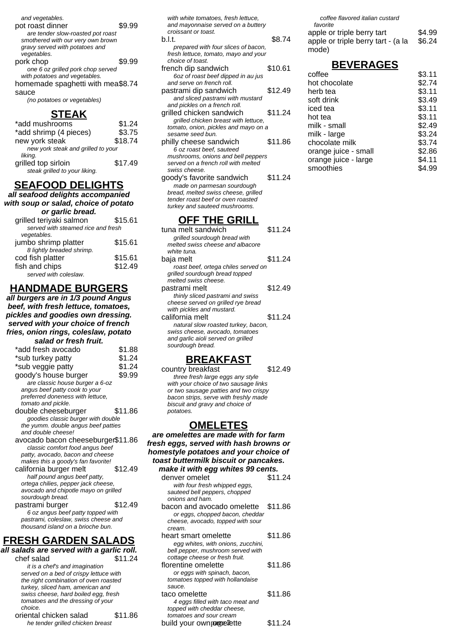| pot roast dinner                  |        |
|-----------------------------------|--------|
| are tender slow-roasted pot roast |        |
| smothered with our very own brown |        |
| gravy served with potatoes and    |        |
| vegetables.                       |        |
| pork chop                         | \$9.99 |
| one 6 oz grilled pork chop served |        |
| with potatoes and vegetables.     |        |
| homemade spaghetti with mea\$8.74 |        |
| sauce                             |        |

(no potatoes or vegetables)

#### **STEAK**

| *add mushrooms                     | \$1.24  |
|------------------------------------|---------|
| *add shrimp (4 pieces)             | \$3.75  |
| new york steak                     | \$18.74 |
| new york steak and grilled to your |         |
| liking.                            |         |
| grilled top sirloin                | \$17.49 |
| steak grilled to your liking.      |         |

#### **SEAFOOD DELIGHTS**

**all seafood delights accompanied with soup or salad, choice of potato or garlic bread.**

| u yano wow.                        |         |
|------------------------------------|---------|
| grilled teriyaki salmon            | \$15.61 |
| served with steamed rice and fresh |         |
| vegetables.                        |         |
| jumbo shrimp platter               | \$15.61 |
| 8 lightly breaded shrimp.          |         |
| cod fish platter                   | \$15.61 |
| fish and chips                     | \$12.49 |
| served with coleslaw.              |         |
|                                    |         |

# **HANDMADE BURGERS**

**all burgers are in 1/3 pound Angus beef, with fresh lettuce, tomatoes, pickles and goodies own dressing. served with your choice of french fries, onion rings, coleslaw, potato salad or fresh fruit.**

| *add fresh avocado                   | \$1.88  |
|--------------------------------------|---------|
| *sub turkey patty                    | \$1.24  |
| *sub veggie patty                    | \$1.24  |
| goody's house burger                 | \$9.99  |
| are classic house burger a 6-oz      |         |
| angus beef patty cook to your        |         |
| preferred doneness with lettuce,     |         |
| tomato and pickle.                   |         |
| double cheeseburger                  | \$11.86 |
| goodies classic burger with double   |         |
| the yumm. double angus beef patties  |         |
| and double cheese!                   |         |
| avocado bacon cheeseburger\$11.86    |         |
| classic comfort food angus beef      |         |
| patty, avocado, bacon and cheese     |         |
| makes this a goody's fan favorite!   |         |
| california burger melt               | \$12.49 |
| half pound angus beef patty,         |         |
| ortega chilies, pepper jack cheese,  |         |
| avocado and chipotle mayo on grilled |         |
| sourdough bread.                     |         |
| pastrami burger                      | \$12.49 |
| 6 oz angus beef patty topped with    |         |
| pastrami, coleslaw, swiss cheese and |         |
| thousand island on a brioche bun.    |         |
| C A I A M<br>ІССЦА<br>ADDC<br>N.     |         |

#### **FRESH GARDEN SALADS all salads are served with a garlic roll.**

- chef salad \$11.24 it is a chef's and imagination served on a bed of crispy lettuce with the right combination of oven roasted turkey, sliced ham, american and swiss cheese, hard boiled egg, fresh tomatoes and the dressing of your choice. oriental chicken salad \$11.86
	- he tender grilled chicken breast

with white tomatoes, fresh lettuce, and mayonnaise served on a buttery croissant or toast. b.l.t. \$8.74

- prepared with four slices of bacon, fresh lettuce, tomato, mayo and your choice of toast. french dip sandwich \$10.61
- 6oz of roast beef dipped in au jus and serve on french roll.
- pastrami dip sandwich \$12.49 and sliced pastrami with mustard and pickles on a french roll.
- grilled chicken sandwich \$11.24 grilled chicken breast with lettuce, tomato, onion, pickles and mayo on a sesame seed bun.
- philly cheese sandwich \$11.86 6 oz roast beef, sauteed mushrooms, onions and bell peppers served on a french roll with melted swiss cheese.
- goody's favorite sandwich \$11.24 made on parmesan sourdough bread, melted swiss cheese, grilled tender roast beef or oven roasted turkey and sauteed mushrooms.

#### **OFF THE GRILL**

| grilled sourdough bread with<br>melted swiss cheese and albacore<br>white tuna.<br>\$11.24<br>baja melt<br>roast beef, ortega chiles served on<br>grilled sourdough bread topped<br>melted swiss cheese.<br>\$12.49<br>pastrami melt<br>thinly sliced pastrami and swiss<br>cheese served on grilled rye bread<br>with pickles and mustard.<br>california melt<br>\$11.24<br>natural slow roasted turkey, bacon,<br>swiss cheese, avocado, tomatoes<br>and garlic aioli served on grilled<br>sourdough bread. | tuna melt sandwich | \$11.24 |
|---------------------------------------------------------------------------------------------------------------------------------------------------------------------------------------------------------------------------------------------------------------------------------------------------------------------------------------------------------------------------------------------------------------------------------------------------------------------------------------------------------------|--------------------|---------|
|                                                                                                                                                                                                                                                                                                                                                                                                                                                                                                               |                    |         |
|                                                                                                                                                                                                                                                                                                                                                                                                                                                                                                               |                    |         |
|                                                                                                                                                                                                                                                                                                                                                                                                                                                                                                               |                    |         |
|                                                                                                                                                                                                                                                                                                                                                                                                                                                                                                               |                    |         |
|                                                                                                                                                                                                                                                                                                                                                                                                                                                                                                               |                    |         |
|                                                                                                                                                                                                                                                                                                                                                                                                                                                                                                               |                    |         |
|                                                                                                                                                                                                                                                                                                                                                                                                                                                                                                               |                    |         |
|                                                                                                                                                                                                                                                                                                                                                                                                                                                                                                               |                    |         |
|                                                                                                                                                                                                                                                                                                                                                                                                                                                                                                               |                    |         |
|                                                                                                                                                                                                                                                                                                                                                                                                                                                                                                               |                    |         |
|                                                                                                                                                                                                                                                                                                                                                                                                                                                                                                               |                    |         |
|                                                                                                                                                                                                                                                                                                                                                                                                                                                                                                               |                    |         |
|                                                                                                                                                                                                                                                                                                                                                                                                                                                                                                               |                    |         |
|                                                                                                                                                                                                                                                                                                                                                                                                                                                                                                               |                    |         |
|                                                                                                                                                                                                                                                                                                                                                                                                                                                                                                               |                    |         |
|                                                                                                                                                                                                                                                                                                                                                                                                                                                                                                               |                    |         |

#### **BREAKFAST**

country breakfast \$12.49 three fresh large eggs any style with your choice of two sausage links or two sausage patties and two crispy bacon strips, serve with freshly made biscuit and gravy and choice of potatoes.

#### **OMELETES**

**are omelettes are made with for farm fresh eggs, served with hash browns or homestyle potatoes and your choice of toast buttermilk biscuit or pancakes. make it with egg whites 99 cents.** denver omelet \$11.24 with four fresh whipped eggs, sauteed bell peppers, chopped onions and ham. bacon and avocado omelette \$11.86 or eggs, chopped bacon, cheddar cheese, avocado, topped with sour cream. heart smart omelette \$11.86 egg whites, with onions, zucchini, bell pepper, mushroom served with cottage cheese or fresh fruit. florentine omelette \$11.86 or eggs with spinach, bacon, tomatoes topped with hollandaise sauce. taco omelette \$11.86 4 eggs filled with taco meat and topped with cheddar cheese,

build your own porgreflette \$11.24

tomatoes and sour cream

coffee flavored italian custard favorite

| apple or triple berry tart         | \$4.99 |
|------------------------------------|--------|
| apple or triple berry tart - (a la | \$6.24 |
| mode)                              |        |

# **BEVERAGES**

| coffee               | \$3.11 |
|----------------------|--------|
| hot chocolate        | \$2.74 |
| herb tea             | \$3.11 |
| soft drink           | \$3.49 |
| iced tea             | \$3.11 |
| hot tea              | \$3.11 |
| milk - small         | \$2.49 |
| milk - large         | \$3.24 |
| chocolate milk       | \$3.74 |
| orange juice - small | \$2.86 |
| orange juice - large | \$4.11 |
| smoothies            | \$4.99 |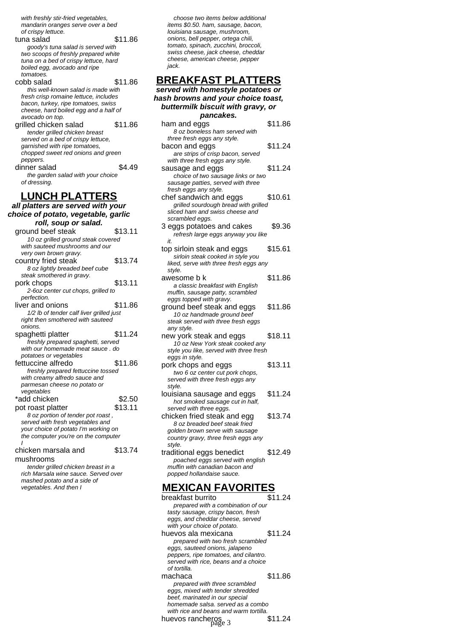with freshly stir-fried vegetables, mandarin oranges serve over a bed of crispy lettuce.

tuna salad \$11.86 goody's tuna salad is served with two scoops of freshly prepared white tuna on a bed of crispy lettuce, hard boiled egg, avocado and ripe tomatoes. cobb salad \$11.86

this well-known salad is made with fresh crisp romaine lettuce, includes bacon, turkey, ripe tomatoes, swiss cheese, hard boiled egg and a half of avocado on top. grilled chicken salad \$11.86 tender grilled chicken breast served on a bed of crispy lettuce, garnished with ripe tomatoes, chopped sweet red onions and green peppers.

dinner salad \$4.49 the garden salad with your choice of dressing.

## **LUNCH PLATTERS**

**all platters are served with your choice of potato, vegetable, garlic**

| roll, soup or salad.                     |         |
|------------------------------------------|---------|
| ground beef steak                        | \$13.11 |
| 10 oz grilled ground steak covered       |         |
| with sauteed mushrooms and our           |         |
| very own brown gravy.                    |         |
| country fried steak                      | \$13.74 |
| 8 oz lightly breaded beef cube           |         |
| steak smothered in gravy.                |         |
| pork chops                               | \$13.11 |
| 2-6oz center cut chops, grilled to       |         |
| perfection.                              |         |
| liver and onions                         | \$11.86 |
| 1/2 lb of tender calf liver grilled just |         |
| right then smothered with sauteed        |         |
| onions.                                  |         |
| spaghetti platter                        | \$11.24 |
| freshly prepared spaghetti, served       |         |
| with our homemade meat sauce, do         |         |
| potatoes or vegetables                   |         |
| fettuccine alfredo                       | \$11.86 |
| freshly prepared fettuccine tossed       |         |
| with creamy alfredo sauce and            |         |
| parmesan cheese no potato or             |         |
| vegetables                               |         |
| *add chicken                             | \$2.50  |
| pot roast platter                        | \$13.11 |
| 8 oz portion of tender pot roast,        |         |
| served with fresh vegetables and         |         |
| your choice of potato I'm working on     |         |
| the computer you're on the computer      |         |
| chicken marsala and                      | \$13.74 |
|                                          |         |

mushrooms

tender grilled chicken breast in a rich Marsala wine sauce. Served over mashed potato and a side of vegetables. And then I

choose two items below additional items \$0.50. ham, sausage, bacon, louisiana sausage, mushroom, onions, bell pepper, ortega chili, tomato, spinach, zucchini, broccoli, swiss cheese, jack cheese, cheddar cheese, american cheese, pepper jack.

#### **BREAKFAST PLATTERS served with homestyle pote**

| served with homestyle potatoes of<br>hash browns and your choice toast,     |         |
|-----------------------------------------------------------------------------|---------|
|                                                                             |         |
| buttermilk biscuit with gravy, or                                           |         |
| pancakes.                                                                   |         |
| ham and eggs                                                                | \$11.86 |
| 8 oz boneless ham served with                                               |         |
| three fresh eggs any style.                                                 |         |
| bacon and eggs                                                              | \$11.24 |
| are strips of crisp bacon, served                                           |         |
| with three fresh eggs any style.                                            |         |
| sausage and eggs                                                            | \$11.24 |
| choice of two sausage links or two                                          |         |
| sausage patties, served with three                                          |         |
| fresh eggs any style.                                                       |         |
| chef sandwich and eggs                                                      | \$10.61 |
| grilled sourdough bread with grilled                                        |         |
| sliced ham and swiss cheese and                                             |         |
| scrambled eggs.                                                             |         |
| 3 eggs potatoes and cakes                                                   | \$9.36  |
| refresh large eggs anyway you like                                          |         |
| it.                                                                         | \$15.61 |
| top sirloin steak and eggs                                                  |         |
| sirloin steak cooked in style you<br>liked, serve with three fresh eggs any |         |
| style.                                                                      |         |
| awesome b k                                                                 | \$11.86 |
| a classic breakfast with English                                            |         |
| muffin, sausage patty, scrambled                                            |         |
| eggs topped with gravy.                                                     |         |
| ground beef steak and eggs                                                  | \$11.86 |
| 10 oz handmade ground beef                                                  |         |
| steak served with three fresh eggs                                          |         |
| any style.                                                                  |         |
| new york steak and eggs                                                     | \$18.11 |
| 10 oz New York steak cooked any                                             |         |
| style you like, served with three fresh                                     |         |
| eggs in style.                                                              |         |
| pork chops and eggs                                                         | \$13.11 |
| two 6 oz center cut pork chops,                                             |         |
| served with three fresh eggs any                                            |         |
| style.                                                                      |         |
| louisiana sausage and eggs                                                  | \$11.24 |
| hot smoked sausage cut in half,                                             |         |
| served with three eggs.                                                     |         |
| chicken fried steak and egg                                                 | \$13.74 |
| 8 oz breaded beef steak fried                                               |         |
| golden brown serve with sausage                                             |         |
| country gravy, three fresh eggs any                                         |         |
| style.                                                                      | \$12.49 |
| traditional eggs benedict                                                   |         |
| poached eggs served with english<br>muffin with canadian bacon and          |         |
| popped hollandaise sauce.                                                   |         |
|                                                                             |         |

#### **MEXICAN FAVORITES**

| breakfast burrito                      | \$11.24 |
|----------------------------------------|---------|
| prepared with a combination of our     |         |
| tasty sausage, crispy bacon, fresh     |         |
| eggs, and cheddar cheese, served       |         |
| with your choice of potato.            |         |
| huevos ala mexicana                    | \$11.24 |
| prepared with two fresh scrambled      |         |
| eggs, sauteed onions, jalapeno         |         |
| peppers, ripe tomatoes, and cilantro.  |         |
| served with rice, beans and a choice   |         |
| of tortilla.                           |         |
| machaca                                | \$11.86 |
| prepared with three scrambled          |         |
| eggs, mixed with tender shredded       |         |
| beef, marinated in our special         |         |
| homemade salsa, served as a combo      |         |
| with rice and beans and warm tortilla. |         |
| huevos rancheros                       |         |